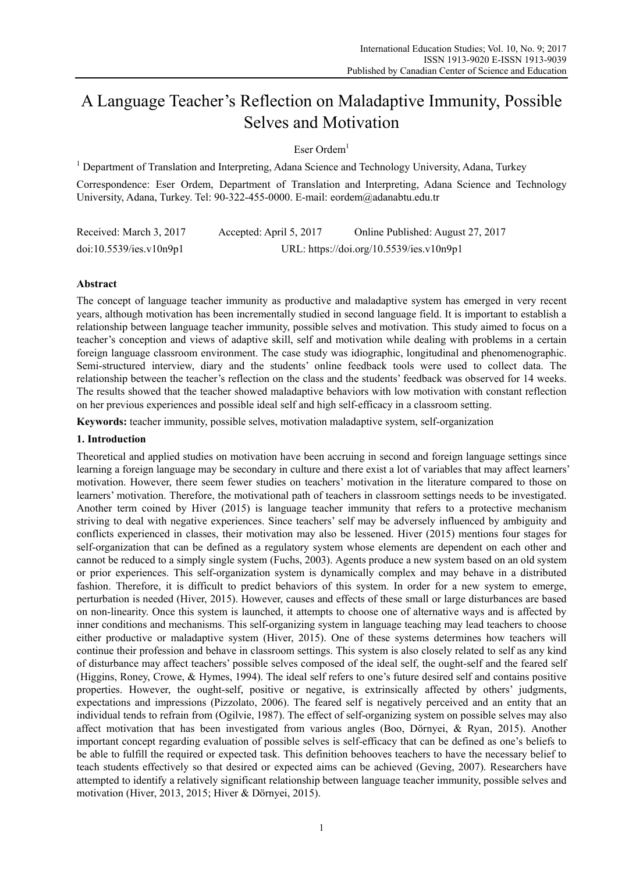# A Language Teacher's Reflection on Maladaptive Immunity, Possible Selves and Motivation

Eser Ordem $<sup>1</sup>$ </sup>

<sup>1</sup> Department of Translation and Interpreting, Adana Science and Technology University, Adana, Turkey

Correspondence: Eser Ordem, Department of Translation and Interpreting, Adana Science and Technology University, Adana, Turkey. Tel: 90-322-455-0000. E-mail: eordem@adanabtu.edu.tr

| Received: March 3, 2017 | Accepted: April 5, 2017                  | Online Published: August 27, 2017 |
|-------------------------|------------------------------------------|-----------------------------------|
| doi:10.5539/ies.v10n9p1 | URL: https://doi.org/10.5539/ies.v10n9p1 |                                   |

# **Abstract**

The concept of language teacher immunity as productive and maladaptive system has emerged in very recent years, although motivation has been incrementally studied in second language field. It is important to establish a relationship between language teacher immunity, possible selves and motivation. This study aimed to focus on a teacher's conception and views of adaptive skill, self and motivation while dealing with problems in a certain foreign language classroom environment. The case study was idiographic, longitudinal and phenomenographic. Semi-structured interview, diary and the students' online feedback tools were used to collect data. The relationship between the teacher's reflection on the class and the students' feedback was observed for 14 weeks. The results showed that the teacher showed maladaptive behaviors with low motivation with constant reflection on her previous experiences and possible ideal self and high self-efficacy in a classroom setting.

**Keywords:** teacher immunity, possible selves, motivation maladaptive system, self-organization

# **1. Introduction**

Theoretical and applied studies on motivation have been accruing in second and foreign language settings since learning a foreign language may be secondary in culture and there exist a lot of variables that may affect learners' motivation. However, there seem fewer studies on teachers' motivation in the literature compared to those on learners' motivation. Therefore, the motivational path of teachers in classroom settings needs to be investigated. Another term coined by Hiver (2015) is language teacher immunity that refers to a protective mechanism striving to deal with negative experiences. Since teachers' self may be adversely influenced by ambiguity and conflicts experienced in classes, their motivation may also be lessened. Hiver (2015) mentions four stages for self-organization that can be defined as a regulatory system whose elements are dependent on each other and cannot be reduced to a simply single system (Fuchs, 2003). Agents produce a new system based on an old system or prior experiences. This self-organization system is dynamically complex and may behave in a distributed fashion. Therefore, it is difficult to predict behaviors of this system. In order for a new system to emerge, perturbation is needed (Hiver, 2015). However, causes and effects of these small or large disturbances are based on non-linearity. Once this system is launched, it attempts to choose one of alternative ways and is affected by inner conditions and mechanisms. This self-organizing system in language teaching may lead teachers to choose either productive or maladaptive system (Hiver, 2015). One of these systems determines how teachers will continue their profession and behave in classroom settings. This system is also closely related to self as any kind of disturbance may affect teachers' possible selves composed of the ideal self, the ought-self and the feared self (Higgins, Roney, Crowe, & Hymes, 1994). The ideal self refers to one's future desired self and contains positive properties. However, the ought-self, positive or negative, is extrinsically affected by others' judgments, expectations and impressions (Pizzolato, 2006). The feared self is negatively perceived and an entity that an individual tends to refrain from (Ogilvie, 1987). The effect of self-organizing system on possible selves may also affect motivation that has been investigated from various angles (Boo, Dörnyei, & Ryan, 2015). Another important concept regarding evaluation of possible selves is self-efficacy that can be defined as one's beliefs to be able to fulfill the required or expected task. This definition behooves teachers to have the necessary belief to teach students effectively so that desired or expected aims can be achieved (Geving, 2007). Researchers have attempted to identify a relatively significant relationship between language teacher immunity, possible selves and motivation (Hiver, 2013, 2015; Hiver & Dörnyei, 2015).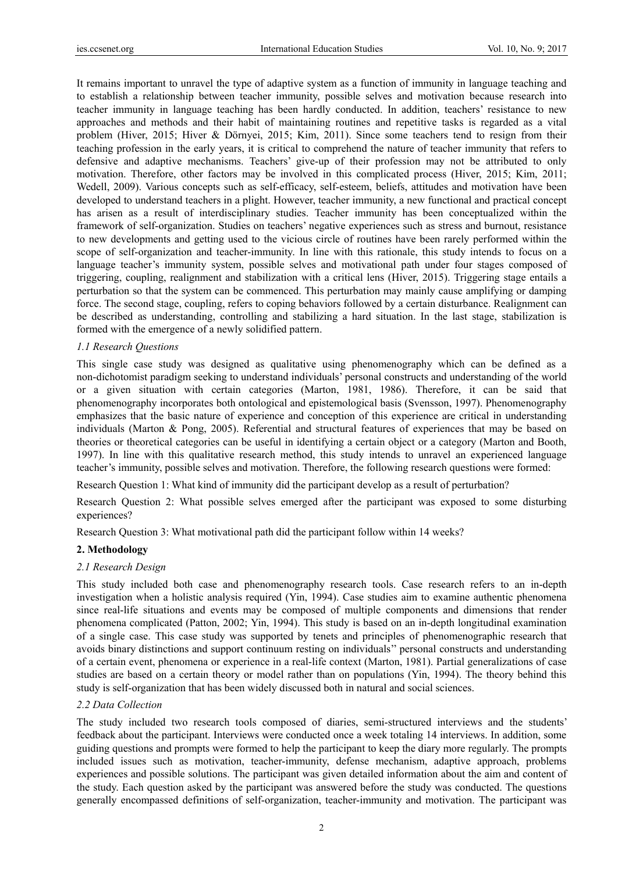It remains important to unravel the type of adaptive system as a function of immunity in language teaching and to establish a relationship between teacher immunity, possible selves and motivation because research into teacher immunity in language teaching has been hardly conducted. In addition, teachers' resistance to new approaches and methods and their habit of maintaining routines and repetitive tasks is regarded as a vital problem (Hiver, 2015; Hiver & Dörnyei, 2015; Kim, 2011). Since some teachers tend to resign from their teaching profession in the early years, it is critical to comprehend the nature of teacher immunity that refers to defensive and adaptive mechanisms. Teachers' give-up of their profession may not be attributed to only motivation. Therefore, other factors may be involved in this complicated process (Hiver, 2015; Kim, 2011; Wedell, 2009). Various concepts such as self-efficacy, self-esteem, beliefs, attitudes and motivation have been developed to understand teachers in a plight. However, teacher immunity, a new functional and practical concept has arisen as a result of interdisciplinary studies. Teacher immunity has been conceptualized within the framework of self-organization. Studies on teachers' negative experiences such as stress and burnout, resistance to new developments and getting used to the vicious circle of routines have been rarely performed within the scope of self-organization and teacher-immunity. In line with this rationale, this study intends to focus on a language teacher's immunity system, possible selves and motivational path under four stages composed of triggering, coupling, realignment and stabilization with a critical lens (Hiver, 2015). Triggering stage entails a perturbation so that the system can be commenced. This perturbation may mainly cause amplifying or damping force. The second stage, coupling, refers to coping behaviors followed by a certain disturbance. Realignment can be described as understanding, controlling and stabilizing a hard situation. In the last stage, stabilization is formed with the emergence of a newly solidified pattern.

## *1.1 Research Questions*

This single case study was designed as qualitative using phenomenography which can be defined as a non-dichotomist paradigm seeking to understand individuals' personal constructs and understanding of the world or a given situation with certain categories (Marton, 1981, 1986). Therefore, it can be said that phenomenography incorporates both ontological and epistemological basis (Svensson, 1997). Phenomenography emphasizes that the basic nature of experience and conception of this experience are critical in understanding individuals (Marton & Pong, 2005). Referential and structural features of experiences that may be based on theories or theoretical categories can be useful in identifying a certain object or a category (Marton and Booth, 1997). In line with this qualitative research method, this study intends to unravel an experienced language teacher's immunity, possible selves and motivation. Therefore, the following research questions were formed:

Research Question 1: What kind of immunity did the participant develop as a result of perturbation?

Research Question 2: What possible selves emerged after the participant was exposed to some disturbing experiences?

Research Question 3: What motivational path did the participant follow within 14 weeks?

## **2. Methodology**

## *2.1 Research Design*

This study included both case and phenomenography research tools. Case research refers to an in-depth investigation when a holistic analysis required (Yin, 1994). Case studies aim to examine authentic phenomena since real-life situations and events may be composed of multiple components and dimensions that render phenomena complicated (Patton, 2002; Yin, 1994). This study is based on an in-depth longitudinal examination of a single case. This case study was supported by tenets and principles of phenomenographic research that avoids binary distinctions and support continuum resting on individuals'' personal constructs and understanding of a certain event, phenomena or experience in a real-life context (Marton, 1981). Partial generalizations of case studies are based on a certain theory or model rather than on populations (Yin, 1994). The theory behind this study is self-organization that has been widely discussed both in natural and social sciences.

## *2.2 Data Collection*

The study included two research tools composed of diaries, semi-structured interviews and the students' feedback about the participant. Interviews were conducted once a week totaling 14 interviews. In addition, some guiding questions and prompts were formed to help the participant to keep the diary more regularly. The prompts included issues such as motivation, teacher-immunity, defense mechanism, adaptive approach, problems experiences and possible solutions. The participant was given detailed information about the aim and content of the study. Each question asked by the participant was answered before the study was conducted. The questions generally encompassed definitions of self-organization, teacher-immunity and motivation. The participant was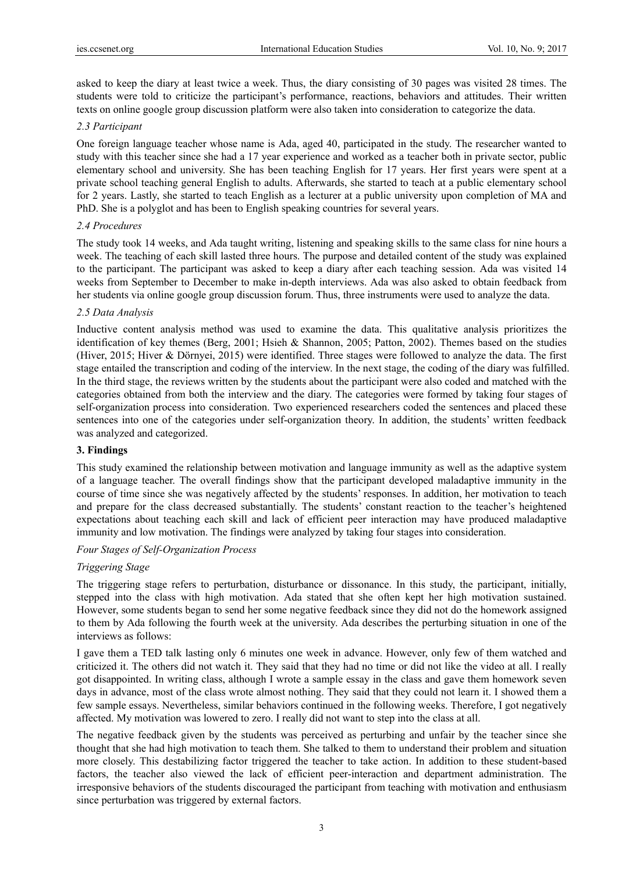asked to keep the diary at least twice a week. Thus, the diary consisting of 30 pages was visited 28 times. The students were told to criticize the participant's performance, reactions, behaviors and attitudes. Their written texts on online google group discussion platform were also taken into consideration to categorize the data.

# *2.3 Participant*

One foreign language teacher whose name is Ada, aged 40, participated in the study. The researcher wanted to study with this teacher since she had a 17 year experience and worked as a teacher both in private sector, public elementary school and university. She has been teaching English for 17 years. Her first years were spent at a private school teaching general English to adults. Afterwards, she started to teach at a public elementary school for 2 years. Lastly, she started to teach English as a lecturer at a public university upon completion of MA and PhD. She is a polyglot and has been to English speaking countries for several years.

#### *2.4 Procedures*

The study took 14 weeks, and Ada taught writing, listening and speaking skills to the same class for nine hours a week. The teaching of each skill lasted three hours. The purpose and detailed content of the study was explained to the participant. The participant was asked to keep a diary after each teaching session. Ada was visited 14 weeks from September to December to make in-depth interviews. Ada was also asked to obtain feedback from her students via online google group discussion forum. Thus, three instruments were used to analyze the data.

# *2.5 Data Analysis*

Inductive content analysis method was used to examine the data. This qualitative analysis prioritizes the identification of key themes (Berg, 2001; Hsieh & Shannon, 2005; Patton, 2002). Themes based on the studies (Hiver, 2015; Hiver & Dörnyei, 2015) were identified. Three stages were followed to analyze the data. The first stage entailed the transcription and coding of the interview. In the next stage, the coding of the diary was fulfilled. In the third stage, the reviews written by the students about the participant were also coded and matched with the categories obtained from both the interview and the diary. The categories were formed by taking four stages of self-organization process into consideration. Two experienced researchers coded the sentences and placed these sentences into one of the categories under self-organization theory. In addition, the students' written feedback was analyzed and categorized.

### **3. Findings**

This study examined the relationship between motivation and language immunity as well as the adaptive system of a language teacher. The overall findings show that the participant developed maladaptive immunity in the course of time since she was negatively affected by the students' responses. In addition, her motivation to teach and prepare for the class decreased substantially. The students' constant reaction to the teacher's heightened expectations about teaching each skill and lack of efficient peer interaction may have produced maladaptive immunity and low motivation. The findings were analyzed by taking four stages into consideration.

## *Four Stages of Self-Organization Process*

# *Triggering Stage*

The triggering stage refers to perturbation, disturbance or dissonance. In this study, the participant, initially, stepped into the class with high motivation. Ada stated that she often kept her high motivation sustained. However, some students began to send her some negative feedback since they did not do the homework assigned to them by Ada following the fourth week at the university. Ada describes the perturbing situation in one of the interviews as follows:

I gave them a TED talk lasting only 6 minutes one week in advance. However, only few of them watched and criticized it. The others did not watch it. They said that they had no time or did not like the video at all. I really got disappointed. In writing class, although I wrote a sample essay in the class and gave them homework seven days in advance, most of the class wrote almost nothing. They said that they could not learn it. I showed them a few sample essays. Nevertheless, similar behaviors continued in the following weeks. Therefore, I got negatively affected. My motivation was lowered to zero. I really did not want to step into the class at all.

The negative feedback given by the students was perceived as perturbing and unfair by the teacher since she thought that she had high motivation to teach them. She talked to them to understand their problem and situation more closely. This destabilizing factor triggered the teacher to take action. In addition to these student-based factors, the teacher also viewed the lack of efficient peer-interaction and department administration. The irresponsive behaviors of the students discouraged the participant from teaching with motivation and enthusiasm since perturbation was triggered by external factors.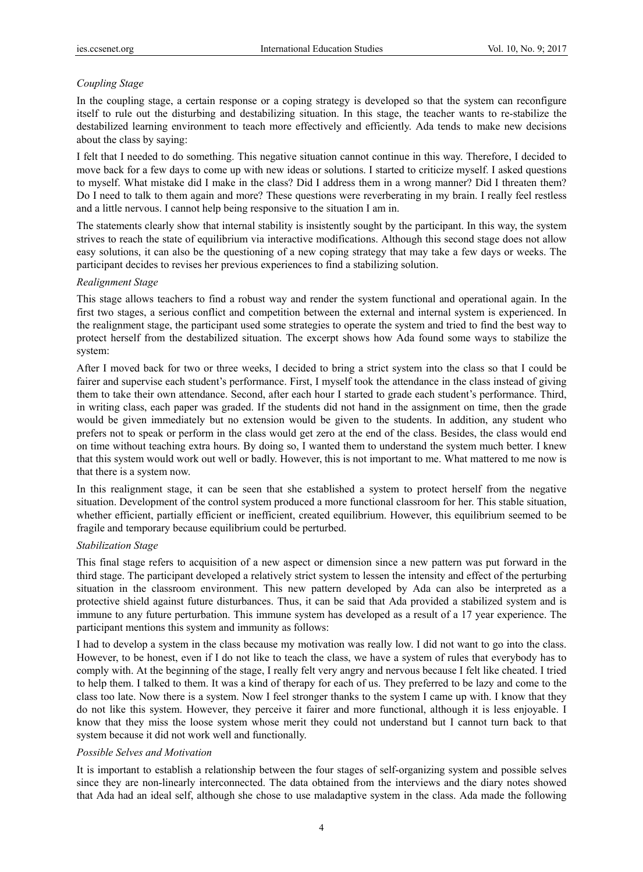## *Coupling Stage*

In the coupling stage, a certain response or a coping strategy is developed so that the system can reconfigure itself to rule out the disturbing and destabilizing situation. In this stage, the teacher wants to re-stabilize the destabilized learning environment to teach more effectively and efficiently. Ada tends to make new decisions about the class by saying:

I felt that I needed to do something. This negative situation cannot continue in this way. Therefore, I decided to move back for a few days to come up with new ideas or solutions. I started to criticize myself. I asked questions to myself. What mistake did I make in the class? Did I address them in a wrong manner? Did I threaten them? Do I need to talk to them again and more? These questions were reverberating in my brain. I really feel restless and a little nervous. I cannot help being responsive to the situation I am in.

The statements clearly show that internal stability is insistently sought by the participant. In this way, the system strives to reach the state of equilibrium via interactive modifications. Although this second stage does not allow easy solutions, it can also be the questioning of a new coping strategy that may take a few days or weeks. The participant decides to revises her previous experiences to find a stabilizing solution.

## *Realignment Stage*

This stage allows teachers to find a robust way and render the system functional and operational again. In the first two stages, a serious conflict and competition between the external and internal system is experienced. In the realignment stage, the participant used some strategies to operate the system and tried to find the best way to protect herself from the destabilized situation. The excerpt shows how Ada found some ways to stabilize the system:

After I moved back for two or three weeks, I decided to bring a strict system into the class so that I could be fairer and supervise each student's performance. First, I myself took the attendance in the class instead of giving them to take their own attendance. Second, after each hour I started to grade each student's performance. Third, in writing class, each paper was graded. If the students did not hand in the assignment on time, then the grade would be given immediately but no extension would be given to the students. In addition, any student who prefers not to speak or perform in the class would get zero at the end of the class. Besides, the class would end on time without teaching extra hours. By doing so, I wanted them to understand the system much better. I knew that this system would work out well or badly. However, this is not important to me. What mattered to me now is that there is a system now.

In this realignment stage, it can be seen that she established a system to protect herself from the negative situation. Development of the control system produced a more functional classroom for her. This stable situation, whether efficient, partially efficient or inefficient, created equilibrium. However, this equilibrium seemed to be fragile and temporary because equilibrium could be perturbed.

### *Stabilization Stage*

This final stage refers to acquisition of a new aspect or dimension since a new pattern was put forward in the third stage. The participant developed a relatively strict system to lessen the intensity and effect of the perturbing situation in the classroom environment. This new pattern developed by Ada can also be interpreted as a protective shield against future disturbances. Thus, it can be said that Ada provided a stabilized system and is immune to any future perturbation. This immune system has developed as a result of a 17 year experience. The participant mentions this system and immunity as follows:

I had to develop a system in the class because my motivation was really low. I did not want to go into the class. However, to be honest, even if I do not like to teach the class, we have a system of rules that everybody has to comply with. At the beginning of the stage, I really felt very angry and nervous because I felt like cheated. I tried to help them. I talked to them. It was a kind of therapy for each of us. They preferred to be lazy and come to the class too late. Now there is a system. Now I feel stronger thanks to the system I came up with. I know that they do not like this system. However, they perceive it fairer and more functional, although it is less enjoyable. I know that they miss the loose system whose merit they could not understand but I cannot turn back to that system because it did not work well and functionally.

#### *Possible Selves and Motivation*

It is important to establish a relationship between the four stages of self-organizing system and possible selves since they are non-linearly interconnected. The data obtained from the interviews and the diary notes showed that Ada had an ideal self, although she chose to use maladaptive system in the class. Ada made the following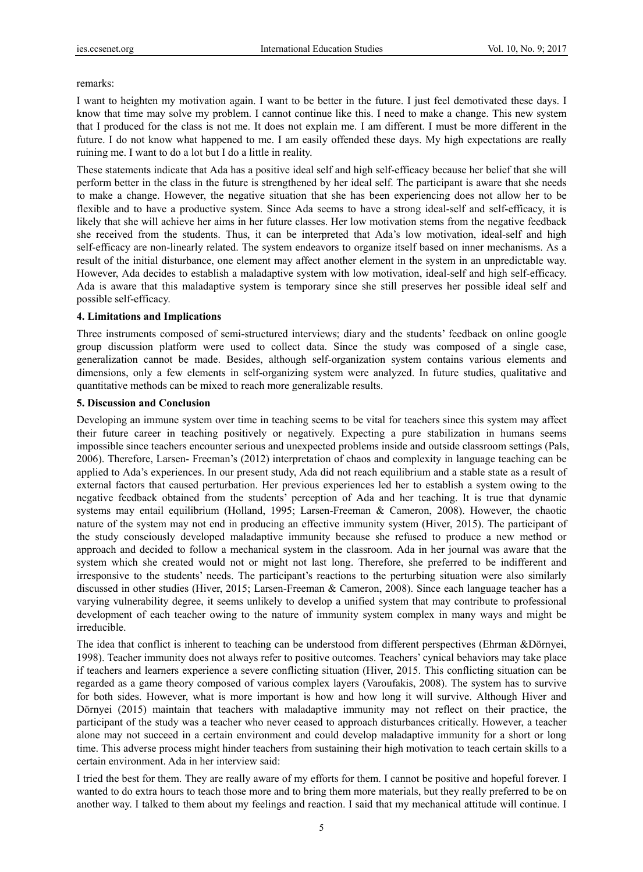## remarks:

I want to heighten my motivation again. I want to be better in the future. I just feel demotivated these days. I know that time may solve my problem. I cannot continue like this. I need to make a change. This new system that I produced for the class is not me. It does not explain me. I am different. I must be more different in the future. I do not know what happened to me. I am easily offended these days. My high expectations are really ruining me. I want to do a lot but I do a little in reality.

These statements indicate that Ada has a positive ideal self and high self-efficacy because her belief that she will perform better in the class in the future is strengthened by her ideal self. The participant is aware that she needs to make a change. However, the negative situation that she has been experiencing does not allow her to be flexible and to have a productive system. Since Ada seems to have a strong ideal-self and self-efficacy, it is likely that she will achieve her aims in her future classes. Her low motivation stems from the negative feedback she received from the students. Thus, it can be interpreted that Ada's low motivation, ideal-self and high self-efficacy are non-linearly related. The system endeavors to organize itself based on inner mechanisms. As a result of the initial disturbance, one element may affect another element in the system in an unpredictable way. However, Ada decides to establish a maladaptive system with low motivation, ideal-self and high self-efficacy. Ada is aware that this maladaptive system is temporary since she still preserves her possible ideal self and possible self-efficacy.

# **4. Limitations and Implications**

Three instruments composed of semi-structured interviews; diary and the students' feedback on online google group discussion platform were used to collect data. Since the study was composed of a single case, generalization cannot be made. Besides, although self-organization system contains various elements and dimensions, only a few elements in self-organizing system were analyzed. In future studies, qualitative and quantitative methods can be mixed to reach more generalizable results.

# **5. Discussion and Conclusion**

Developing an immune system over time in teaching seems to be vital for teachers since this system may affect their future career in teaching positively or negatively. Expecting a pure stabilization in humans seems impossible since teachers encounter serious and unexpected problems inside and outside classroom settings (Pals, 2006). Therefore, Larsen- Freeman's (2012) interpretation of chaos and complexity in language teaching can be applied to Ada's experiences. In our present study, Ada did not reach equilibrium and a stable state as a result of external factors that caused perturbation. Her previous experiences led her to establish a system owing to the negative feedback obtained from the students' perception of Ada and her teaching. It is true that dynamic systems may entail equilibrium (Holland, 1995; Larsen-Freeman & Cameron, 2008). However, the chaotic nature of the system may not end in producing an effective immunity system (Hiver, 2015). The participant of the study consciously developed maladaptive immunity because she refused to produce a new method or approach and decided to follow a mechanical system in the classroom. Ada in her journal was aware that the system which she created would not or might not last long. Therefore, she preferred to be indifferent and irresponsive to the students' needs. The participant's reactions to the perturbing situation were also similarly discussed in other studies (Hiver, 2015; Larsen-Freeman & Cameron, 2008). Since each language teacher has a varying vulnerability degree, it seems unlikely to develop a unified system that may contribute to professional development of each teacher owing to the nature of immunity system complex in many ways and might be irreducible.

The idea that conflict is inherent to teaching can be understood from different perspectives (Ehrman &Dörnyei, 1998). Teacher immunity does not always refer to positive outcomes. Teachers' cynical behaviors may take place if teachers and learners experience a severe conflicting situation (Hiver, 2015. This conflicting situation can be regarded as a game theory composed of various complex layers (Varoufakis, 2008). The system has to survive for both sides. However, what is more important is how and how long it will survive. Although Hiver and Dörnyei (2015) maintain that teachers with maladaptive immunity may not reflect on their practice, the participant of the study was a teacher who never ceased to approach disturbances critically. However, a teacher alone may not succeed in a certain environment and could develop maladaptive immunity for a short or long time. This adverse process might hinder teachers from sustaining their high motivation to teach certain skills to a certain environment. Ada in her interview said:

I tried the best for them. They are really aware of my efforts for them. I cannot be positive and hopeful forever. I wanted to do extra hours to teach those more and to bring them more materials, but they really preferred to be on another way. I talked to them about my feelings and reaction. I said that my mechanical attitude will continue. I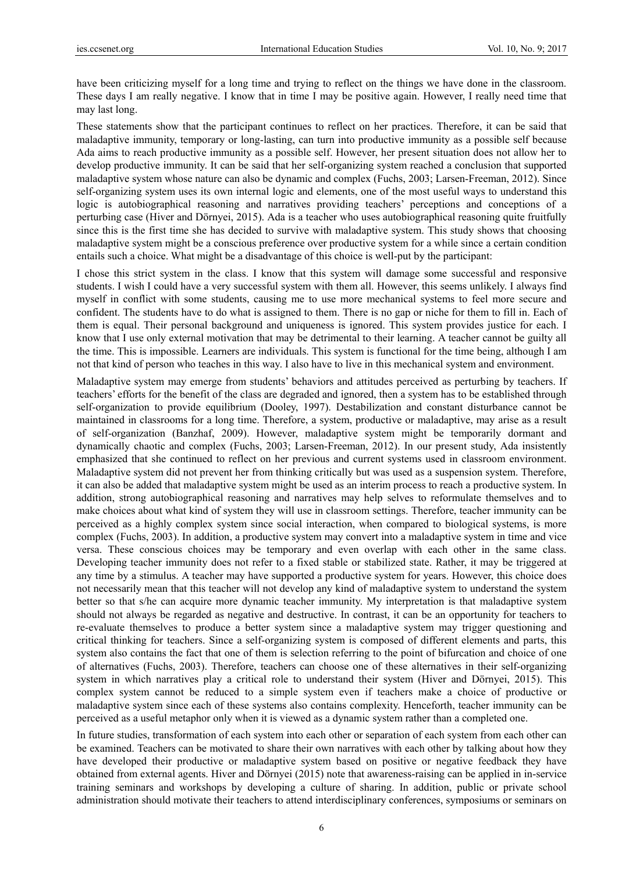have been criticizing myself for a long time and trying to reflect on the things we have done in the classroom. These days I am really negative. I know that in time I may be positive again. However, I really need time that may last long.

These statements show that the participant continues to reflect on her practices. Therefore, it can be said that maladaptive immunity, temporary or long-lasting, can turn into productive immunity as a possible self because Ada aims to reach productive immunity as a possible self. However, her present situation does not allow her to develop productive immunity. It can be said that her self-organizing system reached a conclusion that supported maladaptive system whose nature can also be dynamic and complex (Fuchs, 2003; Larsen-Freeman, 2012). Since self-organizing system uses its own internal logic and elements, one of the most useful ways to understand this logic is autobiographical reasoning and narratives providing teachers' perceptions and conceptions of a perturbing case (Hiver and Dörnyei, 2015). Ada is a teacher who uses autobiographical reasoning quite fruitfully since this is the first time she has decided to survive with maladaptive system. This study shows that choosing maladaptive system might be a conscious preference over productive system for a while since a certain condition entails such a choice. What might be a disadvantage of this choice is well-put by the participant:

I chose this strict system in the class. I know that this system will damage some successful and responsive students. I wish I could have a very successful system with them all. However, this seems unlikely. I always find myself in conflict with some students, causing me to use more mechanical systems to feel more secure and confident. The students have to do what is assigned to them. There is no gap or niche for them to fill in. Each of them is equal. Their personal background and uniqueness is ignored. This system provides justice for each. I know that I use only external motivation that may be detrimental to their learning. A teacher cannot be guilty all the time. This is impossible. Learners are individuals. This system is functional for the time being, although I am not that kind of person who teaches in this way. I also have to live in this mechanical system and environment.

Maladaptive system may emerge from students' behaviors and attitudes perceived as perturbing by teachers. If teachers' efforts for the benefit of the class are degraded and ignored, then a system has to be established through self-organization to provide equilibrium (Dooley, 1997). Destabilization and constant disturbance cannot be maintained in classrooms for a long time. Therefore, a system, productive or maladaptive, may arise as a result of self-organization (Banzhaf, 2009). However, maladaptive system might be temporarily dormant and dynamically chaotic and complex (Fuchs, 2003; Larsen-Freeman, 2012). In our present study, Ada insistently emphasized that she continued to reflect on her previous and current systems used in classroom environment. Maladaptive system did not prevent her from thinking critically but was used as a suspension system. Therefore, it can also be added that maladaptive system might be used as an interim process to reach a productive system. In addition, strong autobiographical reasoning and narratives may help selves to reformulate themselves and to make choices about what kind of system they will use in classroom settings. Therefore, teacher immunity can be perceived as a highly complex system since social interaction, when compared to biological systems, is more complex (Fuchs, 2003). In addition, a productive system may convert into a maladaptive system in time and vice versa. These conscious choices may be temporary and even overlap with each other in the same class. Developing teacher immunity does not refer to a fixed stable or stabilized state. Rather, it may be triggered at any time by a stimulus. A teacher may have supported a productive system for years. However, this choice does not necessarily mean that this teacher will not develop any kind of maladaptive system to understand the system better so that s/he can acquire more dynamic teacher immunity. My interpretation is that maladaptive system should not always be regarded as negative and destructive. In contrast, it can be an opportunity for teachers to re-evaluate themselves to produce a better system since a maladaptive system may trigger questioning and critical thinking for teachers. Since a self-organizing system is composed of different elements and parts, this system also contains the fact that one of them is selection referring to the point of bifurcation and choice of one of alternatives (Fuchs, 2003). Therefore, teachers can choose one of these alternatives in their self-organizing system in which narratives play a critical role to understand their system (Hiver and Dörnyei, 2015). This complex system cannot be reduced to a simple system even if teachers make a choice of productive or maladaptive system since each of these systems also contains complexity. Henceforth, teacher immunity can be perceived as a useful metaphor only when it is viewed as a dynamic system rather than a completed one.

In future studies, transformation of each system into each other or separation of each system from each other can be examined. Teachers can be motivated to share their own narratives with each other by talking about how they have developed their productive or maladaptive system based on positive or negative feedback they have obtained from external agents. Hiver and Dörnyei (2015) note that awareness-raising can be applied in in-service training seminars and workshops by developing a culture of sharing. In addition, public or private school administration should motivate their teachers to attend interdisciplinary conferences, symposiums or seminars on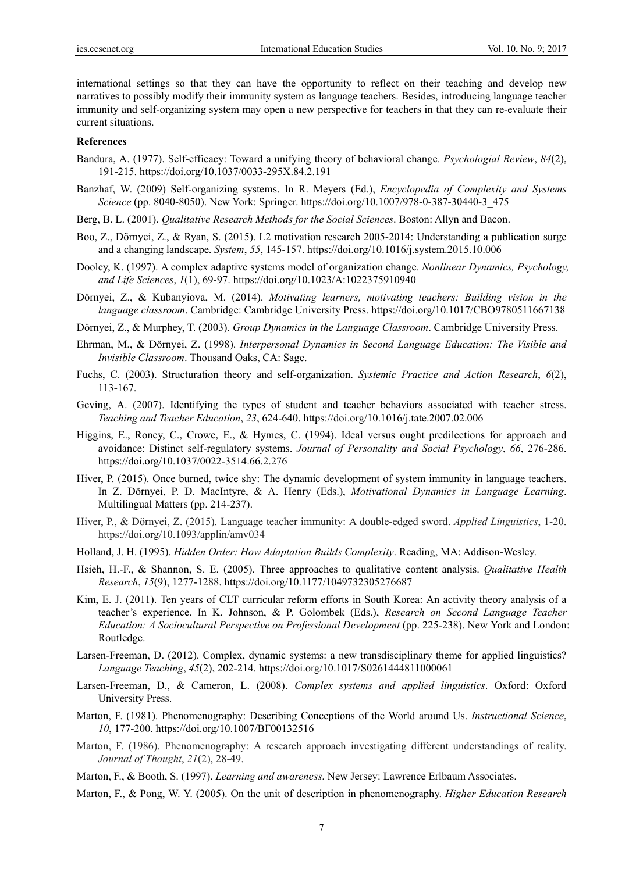international settings so that they can have the opportunity to reflect on their teaching and develop new narratives to possibly modify their immunity system as language teachers. Besides, introducing language teacher immunity and self-organizing system may open a new perspective for teachers in that they can re-evaluate their current situations.

## **References**

- Bandura, A. (1977). Self-efficacy: Toward a unifying theory of behavioral change. *Psychologial Review*, *84*(2), 191-215. https://doi.org/10.1037/0033-295X.84.2.191
- Banzhaf, W. (2009) Self-organizing systems. In R. Meyers (Ed.), *Encyclopedia of Complexity and Systems Science* (pp. 8040-8050). New York: Springer. https://doi.org/10.1007/978-0-387-30440-3\_475
- Berg, B. L. (2001). *Qualitative Research Methods for the Social Sciences*. Boston: Allyn and Bacon.
- Boo, Z., Dörnyei, Z., & Ryan, S. (2015). L2 motivation research 2005-2014: Understanding a publication surge and a changing landscape. *System*, *55*, 145-157. https://doi.org/10.1016/j.system.2015.10.006
- Dooley, K. (1997). A complex adaptive systems model of organization change. *Nonlinear Dynamics, Psychology, and Life Sciences*, *1*(1), 69-97. https://doi.org/10.1023/A:1022375910940
- Dörnyei, Z., & Kubanyiova, M. (2014). *Motivating learners, motivating teachers: Building vision in the language classroom*. Cambridge: Cambridge University Press. https://doi.org/10.1017/CBO9780511667138
- Dörnyei, Z., & Murphey, T. (2003). *Group Dynamics in the Language Classroom*. Cambridge University Press.
- Ehrman, M., & Dörnyei, Z. (1998). *Interpersonal Dynamics in Second Language Education: The Visible and Invisible Classroom*. Thousand Oaks, CA: Sage.
- Fuchs, C. (2003). Structuration theory and self-organization. *Systemic Practice and Action Research*, *6*(2), 113-167.
- Geving, A. (2007). Identifying the types of student and teacher behaviors associated with teacher stress. *Teaching and Teacher Education*, *23*, 624-640. https://doi.org/10.1016/j.tate.2007.02.006
- Higgins, E., Roney, C., Crowe, E., & Hymes, C. (1994). Ideal versus ought predilections for approach and avoidance: Distinct self-regulatory systems. *Journal of Personality and Social Psychology*, *66*, 276-286. https://doi.org/10.1037/0022-3514.66.2.276
- Hiver, P. (2015). Once burned, twice shy: The dynamic development of system immunity in language teachers. In Z. Dörnyei, P. D. MacIntyre, & A. Henry (Eds.), *Motivational Dynamics in Language Learning*. Multilingual Matters (pp. 214-237).
- Hiver, P., & Dörnyei, Z. (2015). Language teacher immunity: A double-edged sword. *Applied Linguistics*, 1-20. https://doi.org/10.1093/applin/amv034
- Holland, J. H. (1995). *Hidden Order: How Adaptation Builds Complexity*. Reading, MA: Addison-Wesley.
- Hsieh, H.-F., & Shannon, S. E. (2005). Three approaches to qualitative content analysis. *Qualitative Health Research*, *15*(9), 1277-1288. https://doi.org/10.1177/1049732305276687
- Kim, E. J. (2011). Ten years of CLT curricular reform efforts in South Korea: An activity theory analysis of a teacher's experience. In K. Johnson, & P. Golombek (Eds.), *Research on Second Language Teacher Education: A Sociocultural Perspective on Professional Development* (pp. 225-238). New York and London: Routledge.
- Larsen-Freeman, D. (2012). Complex, dynamic systems: a new transdisciplinary theme for applied linguistics? *Language Teaching*, *45*(2), 202-214. https://doi.org/10.1017/S0261444811000061
- Larsen-Freeman, D., & Cameron, L. (2008). *Complex systems and applied linguistics*. Oxford: Oxford University Press.
- Marton, F. (1981). Phenomenography: Describing Conceptions of the World around Us. *Instructional Science*, *10*, 177-200. https://doi.org/10.1007/BF00132516
- Marton, F. (1986). Phenomenography: A research approach investigating different understandings of reality. *Journal of Thought*, *21*(2), 28-49.
- Marton, F., & Booth, S. (1997). *Learning and awareness*. New Jersey: Lawrence Erlbaum Associates.
- Marton, F., & Pong, W. Y. (2005). On the unit of description in phenomenography. *Higher Education Research*